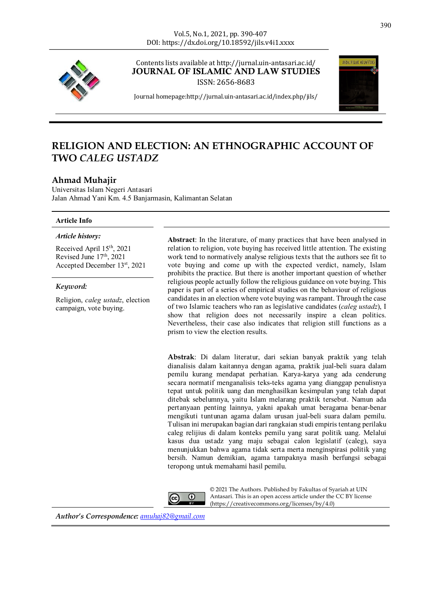#### Vol.5, No.1, 2021, pp. 390-407 DOI: https://dx.doi.org/10.18592/jils.v4i1.xxxx



Contents lists available at http://jurnal.uin-antasari.ac.id/ JOURNAL OF ISLAMIC AND LAW STUDIES

ISSN: 2656-8683



Journal homepage:http://jurnal.uin-antasari.ac.id/index.php/jils/

# **RELIGION AND ELECTION: AN ETHNOGRAPHIC ACCOUNT OF TWO** *CALEG USTADZ*

# **Ahmad Muhajir**

Universitas Islam Negeri Antasari Jalan Ahmad Yani Km. 4.5 Banjarmasin, Kalimantan Selatan

#### **Article Info**

#### *Article history:*

Received April 15th, 2021 Revised June 17th, 2021 Accepted December 13st, 2021

#### *Keyword:*

Religion, *caleg ustadz*, election campaign, vote buying.

**Abstract**: In the literature, of many practices that have been analysed in relation to religion, vote buying has received little attention. The existing work tend to normatively analyse religious texts that the authors see fit to vote buying and come up with the expected verdict, namely, Islam prohibits the practice. But there is another important question of whether religious people actually follow the religious guidance on vote buying. This paper is part of a series of empirical studies on the behaviour of religious candidates in an election where vote buying was rampant. Through the case of two Islamic teachers who ran as legislative candidates (*caleg ustadz*), I show that religion does not necessarily inspire a clean politics. Nevertheless, their case also indicates that religion still functions as a prism to view the election results.

**Abstrak**: Di dalam literatur, dari sekian banyak praktik yang telah dianalisis dalam kaitannya dengan agama, praktik jual-beli suara dalam pemilu kurang mendapat perhatian. Karya-karya yang ada cenderung secara normatif menganalisis teks-teks agama yang dianggap penulisnya tepat untuk politik uang dan menghasilkan kesimpulan yang telah dapat ditebak sebelumnya, yaitu Islam melarang praktik tersebut. Namun ada pertanyaan penting lainnya, yakni apakah umat beragama benar-benar mengikuti tuntunan agama dalam urusan jual-beli suara dalam pemilu. Tulisan ini merupakan bagian dari rangkaian studi empiris tentang perilaku caleg relijius di dalam konteks pemilu yang sarat politik uang. Melalui kasus dua ustadz yang maju sebagai calon legislatif (caleg), saya menunjukkan bahwa agama tidak serta merta menginspirasi politik yang bersih. Namun demikian, agama tampaknya masih berfungsi sebagai teropong untuk memahami hasil pemilu.



© 2021 The Authors. Published by Fakultas of Syariah at UIN Antasari. This is an open access article under the CC BY license (https://creativecommons.org/licenses/by/4.0)

*Author's Correspondence: amuhaj82@gmail.com*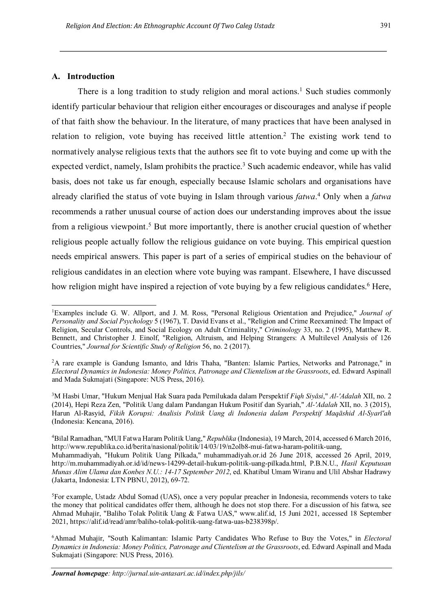# **A. Introduction**

There is a long tradition to study religion and moral actions.<sup>1</sup> Such studies commonly identify particular behaviour that religion either encourages or discourages and analyse if people of that faith show the behaviour. In the literature, of many practices that have been analysed in relation to religion, vote buying has received little attention.2 The existing work tend to normatively analyse religious texts that the authors see fit to vote buying and come up with the expected verdict, namely, Islam prohibits the practice.<sup>3</sup> Such academic endeavor, while has valid basis, does not take us far enough, especially because Islamic scholars and organisations have already clarified the status of vote buying in Islam through various *fatwa*. <sup>4</sup> Only when a *fatwa*  recommends a rather unusual course of action does our understanding improves about the issue from a religious viewpoint.5 But more importantly, there is another crucial question of whether religious people actually follow the religious guidance on vote buying. This empirical question needs empirical answers. This paper is part of a series of empirical studies on the behaviour of religious candidates in an election where vote buying was rampant. Elsewhere, I have discussed how religion might have inspired a rejection of vote buying by a few religious candidates.<sup>6</sup> Here,

<sup>|&</sup>lt;br>|<br>| Examples include G. W. Allport, and J. M. Ross, "Personal Religious Orientation and Prejudice," *Journal of Personality and Social Psychology* 5 (1967), T. David Evans et al., "Religion and Crime Reexamined: The Impact of Religion, Secular Controls, and Social Ecology on Adult Criminality," *Criminology* 33, no. 2 (1995), Matthew R. Bennett, and Christopher J. Einolf, "Religion, Altruism, and Helping Strangers: A Multilevel Analysis of 126 Countries," *Journal for Scientific Study of Religion* 56, no. 2 (2017).

<sup>&</sup>lt;sup>2</sup>A rare example is Gandung Ismanto, and Idris Thaha, "Banten: Islamic Parties, Networks and Patronage," in *Electoral Dynamics in Indonesia: Money Politics, Patronage and Clientelism at the Grassroots*, ed. Edward Aspinall and Mada Sukmajati (Singapore: NUS Press, 2016).

<sup>3</sup> M Hasbi Umar, "Hukum Menjual Hak Suara pada Pemilukada dalam Perspektif *Fiqh Siyâsi*," *Al-'Adalah* XII, no. 2 (2014), Hepi Reza Zen, "Politik Uang dalam Pandangan Hukum Positif dan Syariah," *Al-'Adalah* XII, no. 3 (2015), Harun Al-Rasyid, *Fikih Korupsi: Analisis Politik Uang di Indonesia dalam Perspektif Maqāshid Al-Syarī'ah* (Indonesia: Kencana, 2016).

<sup>4</sup> Bilal Ramadhan, "MUI Fatwa Haram Politik Uang," *Republika* (Indonesia), 19 March, 2014, accessed 6 March 2016, http://www.republika.co.id/berita/nasional/politik/14/03/19/n2olb8-mui-fatwa-haram-politik-uang, Muhammadiyah, "Hukum Politik Uang Pilkada," muhammadiyah.or.id 26 June 2018, accessed 26 April, 2019, http://m.muhammadiyah.or.id/id/news-14299-detail-hukum-politik-uang-pilkada.html, P.B.N.U., *Hasil Keputusan Munas Alim Ulama dan Konbes N.U.: 14-17 September 2012*, ed. Khatibul Umam Wiranu and Ulil Abshar Hadrawy (Jakarta, Indonesia: LTN PBNU, 2012), 69-72.

<sup>5</sup> For example, Ustadz Abdul Somad (UAS), once a very popular preacher in Indonesia, recommends voters to take the money that political candidates offer them, although he does not stop there. For a discussion of his fatwa, see Ahmad Muhajir, "Baliho Tolak Politik Uang & Fatwa UAS," www.alif.id, 15 Juni 2021, accessed 18 September 2021, https://alif.id/read/amr/baliho-tolak-politik-uang-fatwa-uas-b238398p/.

<sup>6</sup> Ahmad Muhajir, "South Kalimantan: Islamic Party Candidates Who Refuse to Buy the Votes," in *Electoral Dynamics in Indonesia: Money Politics, Patronage and Clientelism at the Grassroots*, ed. Edward Aspinall and Mada Sukmajati (Singapore: NUS Press, 2016).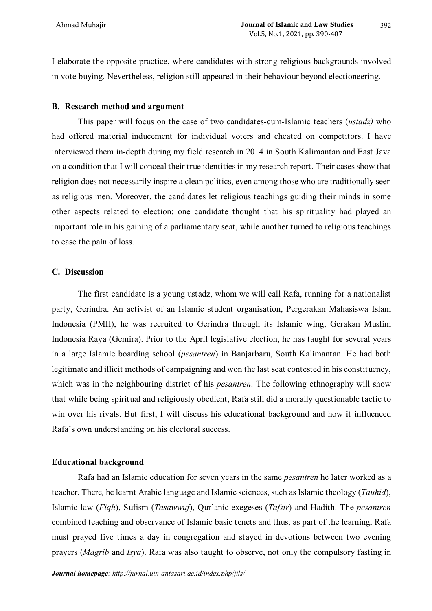I elaborate the opposite practice, where candidates with strong religious backgrounds involved in vote buying. Nevertheless, religion still appeared in their behaviour beyond electioneering.

# **B. Research method and argument**

This paper will focus on the case of two candidates-cum-Islamic teachers (*ustadz)* who had offered material inducement for individual voters and cheated on competitors. I have interviewed them in-depth during my field research in 2014 in South Kalimantan and East Java on a condition that I will conceal their true identities in my research report. Their cases show that religion does not necessarily inspire a clean politics, even among those who are traditionally seen as religious men. Moreover, the candidates let religious teachings guiding their minds in some other aspects related to election: one candidate thought that his spirituality had played an important role in his gaining of a parliamentary seat, while another turned to religious teachings to ease the pain of loss.

## **C. Discussion**

The first candidate is a young ustadz, whom we will call Rafa, running for a nationalist party, Gerindra. An activist of an Islamic student organisation, Pergerakan Mahasiswa Islam Indonesia (PMII), he was recruited to Gerindra through its Islamic wing, Gerakan Muslim Indonesia Raya (Gemira). Prior to the April legislative election, he has taught for several years in a large Islamic boarding school (*pesantren*) in Banjarbaru, South Kalimantan. He had both legitimate and illicit methods of campaigning and won the last seat contested in his constituency, which was in the neighbouring district of his *pesantren*. The following ethnography will show that while being spiritual and religiously obedient, Rafa still did a morally questionable tactic to win over his rivals. But first, I will discuss his educational background and how it influenced Rafa's own understanding on his electoral success.

### **Educational background**

Rafa had an Islamic education for seven years in the same *pesantren* he later worked as a teacher. There*,* he learnt Arabic language and Islamic sciences, such as Islamic theology (*Tauhid*), Islamic law (*Fiqh*), Sufism (*Tasawwuf*), Qur'anic exegeses (*Tafsir*) and Hadith. The *pesantren* combined teaching and observance of Islamic basic tenets and thus, as part of the learning, Rafa must prayed five times a day in congregation and stayed in devotions between two evening prayers (*Magrib* and *Isya*). Rafa was also taught to observe, not only the compulsory fasting in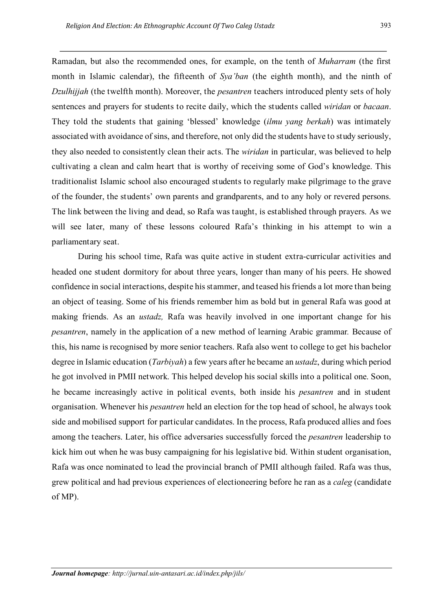Ramadan, but also the recommended ones, for example, on the tenth of *Muharram* (the first month in Islamic calendar), the fifteenth of *Sya'ban* (the eighth month), and the ninth of *Dzulhijjah* (the twelfth month). Moreover, the *pesantren* teachers introduced plenty sets of holy sentences and prayers for students to recite daily, which the students called *wiridan* or *bacaan*. They told the students that gaining 'blessed' knowledge (*ilmu yang berkah*) was intimately associated with avoidance of sins, and therefore, not only did the students have to study seriously, they also needed to consistently clean their acts. The *wiridan* in particular, was believed to help cultivating a clean and calm heart that is worthy of receiving some of God's knowledge. This traditionalist Islamic school also encouraged students to regularly make pilgrimage to the grave of the founder, the students' own parents and grandparents, and to any holy or revered persons. The link between the living and dead, so Rafa was taught, is established through prayers. As we will see later, many of these lessons coloured Rafa's thinking in his attempt to win a parliamentary seat.

During his school time, Rafa was quite active in student extra-curricular activities and headed one student dormitory for about three years, longer than many of his peers. He showed confidence in social interactions, despite his stammer, and teased his friends a lot more than being an object of teasing. Some of his friends remember him as bold but in general Rafa was good at making friends. As an *ustadz,* Rafa was heavily involved in one important change for his *pesantren*, namely in the application of a new method of learning Arabic grammar*.* Because of this, his name is recognised by more senior teachers. Rafa also went to college to get his bachelor degree in Islamic education (*Tarbiyah*) a few years after he became an *ustadz*, during which period he got involved in PMII network. This helped develop his social skills into a political one. Soon, he became increasingly active in political events, both inside his *pesantren* and in student organisation. Whenever his *pesantren* held an election for the top head of school, he always took side and mobilised support for particular candidates. In the process, Rafa produced allies and foes among the teachers. Later, his office adversaries successfully forced the *pesantren* leadership to kick him out when he was busy campaigning for his legislative bid. Within student organisation, Rafa was once nominated to lead the provincial branch of PMII although failed. Rafa was thus, grew political and had previous experiences of electioneering before he ran as a *caleg* (candidate of MP).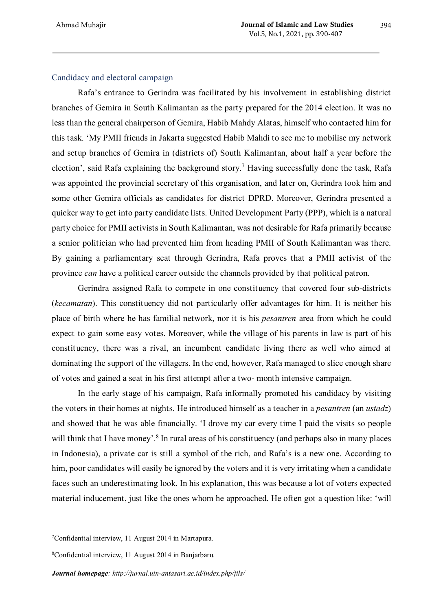# Candidacy and electoral campaign

Rafa's entrance to Gerindra was facilitated by his involvement in establishing district branches of Gemira in South Kalimantan as the party prepared for the 2014 election. It was no less than the general chairperson of Gemira, Habib Mahdy Alatas, himself who contacted him for this task. 'My PMII friends in Jakarta suggested Habib Mahdi to see me to mobilise my network and setup branches of Gemira in (districts of) South Kalimantan, about half a year before the election', said Rafa explaining the background story. <sup>7</sup> Having successfully done the task, Rafa was appointed the provincial secretary of this organisation, and later on, Gerindra took him and some other Gemira officials as candidates for district DPRD. Moreover, Gerindra presented a quicker way to get into party candidate lists. United Development Party (PPP), which is a natural party choice for PMII activists in South Kalimantan, was not desirable for Rafa primarily because a senior politician who had prevented him from heading PMII of South Kalimantan was there. By gaining a parliamentary seat through Gerindra, Rafa proves that a PMII activist of the province *can* have a political career outside the channels provided by that political patron.

Gerindra assigned Rafa to compete in one constituency that covered four sub-districts (*kecamatan*). This constituency did not particularly offer advantages for him. It is neither his place of birth where he has familial network, nor it is his *pesantren* area from which he could expect to gain some easy votes. Moreover, while the village of his parents in law is part of his constituency, there was a rival, an incumbent candidate living there as well who aimed at dominating the support of the villagers. In the end, however, Rafa managed to slice enough share of votes and gained a seat in his first attempt after a two- month intensive campaign.

In the early stage of his campaign, Rafa informally promoted his candidacy by visiting the voters in their homes at nights. He introduced himself as a teacher in a *pesantren* (an *ustadz*) and showed that he was able financially. 'I drove my car every time I paid the visits so people will think that I have money'.<sup>8</sup> In rural areas of his constituency (and perhaps also in many places in Indonesia), a private car is still a symbol of the rich, and Rafa's is a new one. According to him, poor candidates will easily be ignored by the voters and it is very irritating when a candidate faces such an underestimating look. In his explanation, this was because a lot of voters expected material inducement, just like the ones whom he approached. He often got a question like: 'will

 <sup>7</sup> Confidential interview, 11 August 2014 in Martapura.

<sup>8</sup> Confidential interview, 11 August 2014 in Banjarbaru.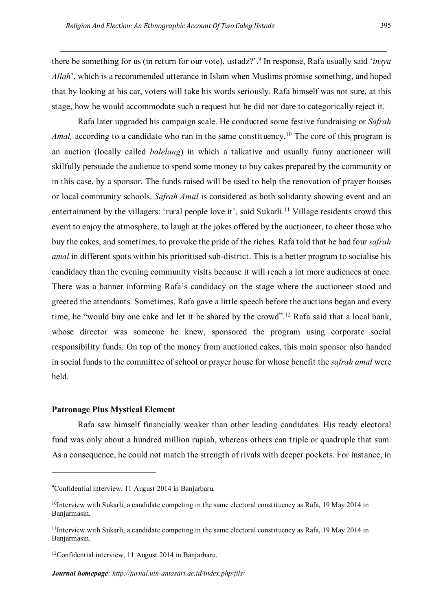there be something for us (in return for our vote), ustadz?'.9 In response, Rafa usually said '*insya Allah*', which is a recommended utterance in Islam when Muslims promise something, and hoped that by looking at his car, voters will take his words seriously. Rafa himself was not sure, at this stage, how he would accommodate such a request but he did not dare to categorically reject it.

Rafa later upgraded his campaign scale. He conducted some festive fundraising or *Safrah*  Amal, according to a candidate who ran in the same constituency.<sup>10</sup> The core of this program is an auction (locally called *balelang*) in which a talkative and usually funny auctioneer will skilfully persuade the audience to spend some money to buy cakes prepared by the community or in this case, by a sponsor. The funds raised will be used to help the renovation of prayer houses or local community schools. *Safrah Amal* is considered as both solidarity showing event and an entertainment by the villagers: 'rural people love it', said Sukarli.<sup>11</sup> Village residents crowd this event to enjoy the atmosphere, to laugh at the jokes offered by the auctioneer, to cheer those who buy the cakes, and sometimes, to provoke the pride of the riches. Rafa told that he had four *safrah amal* in different spots within his prioritised sub-district. This is a better program to socialise his candidacy than the evening community visits because it will reach a lot more audiences at once. There was a banner informing Rafa's candidacy on the stage where the auctioneer stood and greeted the attendants. Sometimes, Rafa gave a little speech before the auctions began and every time, he "would buy one cake and let it be shared by the crowd". <sup>12</sup> Rafa said that a local bank, whose director was someone he knew, sponsored the program using corporate social responsibility funds. On top of the money from auctioned cakes, this main sponsor also handed in social funds to the committee of school or prayer house for whose benefit the *safrah amal* were held.

#### **Patronage Plus Mystical Element**

 $\overline{\phantom{a}}$ 

Rafa saw himself financially weaker than other leading candidates. His ready electoral fund was only about a hundred million rupiah, whereas others can triple or quadruple that sum. As a consequence, he could not match the strength of rivals with deeper pockets. For instance, in

<sup>9</sup> Confidential interview, 11 August 2014 in Banjarbaru.

 $10$ Interview with Sukarli, a candidate competing in the same electoral constituency as Rafa, 19 May 2014 in Banjarmasin.

 $11$ Interview with Sukarli, a candidate competing in the same electoral constituency as Rafa, 19 May 2014 in Banjarmasin.

<sup>12</sup>Confidential interview, 11 August 2014 in Banjarbaru.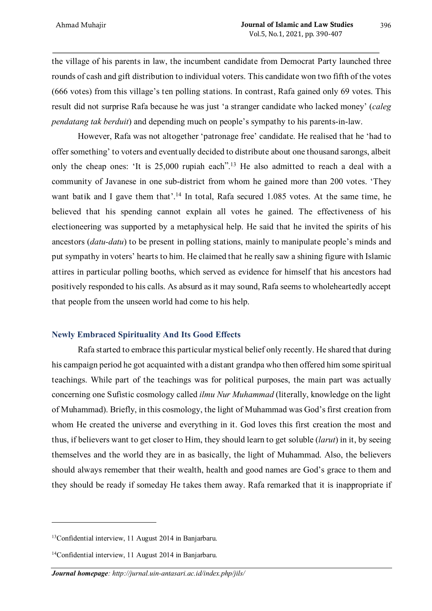the village of his parents in law, the incumbent candidate from Democrat Party launched three rounds of cash and gift distribution to individual voters. This candidate won two fifth of the votes (666 votes) from this village's ten polling stations. In contrast, Rafa gained only 69 votes. This result did not surprise Rafa because he was just 'a stranger candidate who lacked money' (*caleg pendatang tak berduit*) and depending much on people's sympathy to his parents-in-law.

However, Rafa was not altogether 'patronage free' candidate. He realised that he 'had to offer something' to voters and eventually decided to distribute about one thousand sarongs, albeit only the cheap ones: 'It is 25,000 rupiah each".13 He also admitted to reach a deal with a community of Javanese in one sub-district from whom he gained more than 200 votes. 'They want batik and I gave them that'.<sup>14</sup> In total, Rafa secured 1.085 votes. At the same time, he believed that his spending cannot explain all votes he gained. The effectiveness of his electioneering was supported by a metaphysical help. He said that he invited the spirits of his ancestors (*datu-datu*) to be present in polling stations, mainly to manipulate people's minds and put sympathy in voters' hearts to him. He claimed that he really saw a shining figure with Islamic attires in particular polling booths, which served as evidence for himself that his ancestors had positively responded to his calls. As absurd as it may sound, Rafa seems to wholeheartedly accept that people from the unseen world had come to his help.

## **Newly Embraced Spirituality And Its Good Effects**

Rafa started to embrace this particular mystical belief only recently. He shared that during his campaign period he got acquainted with a distant grandpa who then offered him some spiritual teachings. While part of the teachings was for political purposes, the main part was actually concerning one Sufistic cosmology called *ilmu Nur Muhammad* (literally, knowledge on the light of Muhammad). Briefly, in this cosmology, the light of Muhammad was God's first creation from whom He created the universe and everything in it. God loves this first creation the most and thus, if believers want to get closer to Him, they should learn to get soluble (*larut*) in it, by seeing themselves and the world they are in as basically, the light of Muhammad. Also, the believers should always remember that their wealth, health and good names are God's grace to them and they should be ready if someday He takes them away. Rafa remarked that it is inappropriate if

 $\overline{a}$ 

<sup>13</sup>Confidential interview, 11 August 2014 in Banjarbaru.

<sup>14</sup>Confidential interview, 11 August 2014 in Banjarbaru.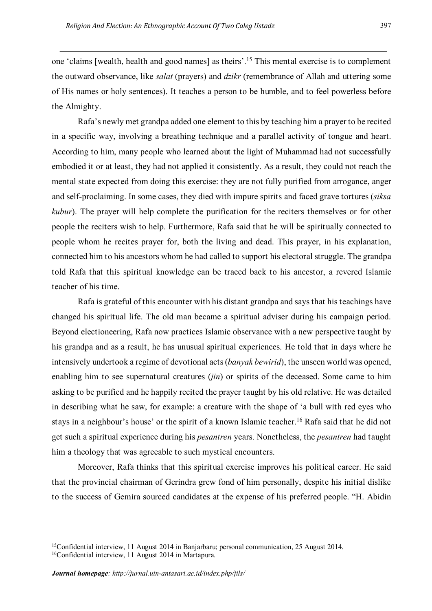one 'claims [wealth, health and good names] as theirs'. <sup>15</sup> This mental exercise is to complement the outward observance, like *salat* (prayers) and *dzikr* (remembrance of Allah and uttering some of His names or holy sentences). It teaches a person to be humble, and to feel powerless before the Almighty.

Rafa's newly met grandpa added one element to this by teaching him a prayer to be recited in a specific way, involving a breathing technique and a parallel activity of tongue and heart. According to him, many people who learned about the light of Muhammad had not successfully embodied it or at least, they had not applied it consistently. As a result, they could not reach the mental state expected from doing this exercise: they are not fully purified from arrogance, anger and self-proclaiming. In some cases, they died with impure spirits and faced grave tortures (*siksa kubur*). The prayer will help complete the purification for the reciters themselves or for other people the reciters wish to help. Furthermore, Rafa said that he will be spiritually connected to people whom he recites prayer for, both the living and dead. This prayer, in his explanation, connected him to his ancestors whom he had called to support his electoral struggle. The grandpa told Rafa that this spiritual knowledge can be traced back to his ancestor, a revered Islamic teacher of his time.

Rafa is grateful of this encounter with his distant grandpa and says that his teachings have changed his spiritual life. The old man became a spiritual adviser during his campaign period. Beyond electioneering, Rafa now practices Islamic observance with a new perspective taught by his grandpa and as a result, he has unusual spiritual experiences. He told that in days where he intensively undertook a regime of devotional acts (*banyak bewirid*), the unseen world was opened, enabling him to see supernatural creatures (*jin*) or spirits of the deceased. Some came to him asking to be purified and he happily recited the prayer taught by his old relative. He was detailed in describing what he saw, for example: a creature with the shape of 'a bull with red eyes who stays in a neighbour's house' or the spirit of a known Islamic teacher. <sup>16</sup> Rafa said that he did not get such a spiritual experience during his *pesantren* years. Nonetheless, the *pesantren* had taught him a theology that was agreeable to such mystical encounters.

Moreover, Rafa thinks that this spiritual exercise improves his political career. He said that the provincial chairman of Gerindra grew fond of him personally, despite his initial dislike to the success of Gemira sourced candidates at the expense of his preferred people. "H. Abidin

<sup>&</sup>lt;sup>15</sup>Confidential interview, 11 August 2014 in Banjarbaru; personal communication, 25 August 2014. 16Confidential interview, 11 August 2014 in Martapura.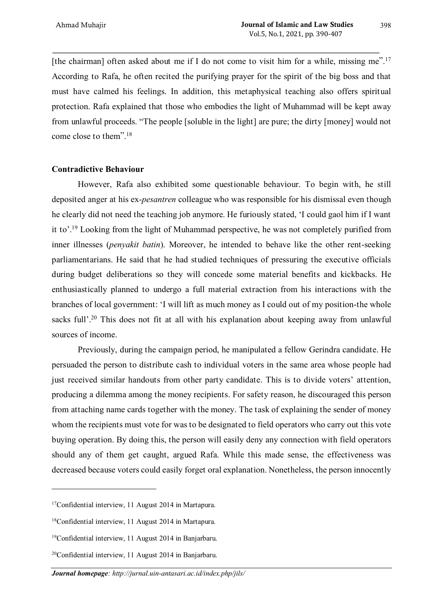[the chairman] often asked about me if I do not come to visit him for a while, missing me".<sup>17</sup> According to Rafa, he often recited the purifying prayer for the spirit of the big boss and that must have calmed his feelings. In addition, this metaphysical teaching also offers spiritual protection. Rafa explained that those who embodies the light of Muhammad will be kept away from unlawful proceeds. "The people [soluble in the light] are pure; the dirty [money] would not come close to them". 18

### **Contradictive Behaviour**

However, Rafa also exhibited some questionable behaviour. To begin with, he still deposited anger at his ex-*pesantren* colleague who was responsible for his dismissal even though he clearly did not need the teaching job anymore. He furiously stated, 'I could gaol him if I want it to'. <sup>19</sup> Looking from the light of Muhammad perspective, he was not completely purified from inner illnesses (*penyakit batin*). Moreover, he intended to behave like the other rent-seeking parliamentarians. He said that he had studied techniques of pressuring the executive officials during budget deliberations so they will concede some material benefits and kickbacks. He enthusiastically planned to undergo a full material extraction from his interactions with the branches of local government: 'I will lift as much money as I could out of my position-the whole sacks full'.<sup>20</sup> This does not fit at all with his explanation about keeping away from unlawful sources of income.

Previously, during the campaign period, he manipulated a fellow Gerindra candidate. He persuaded the person to distribute cash to individual voters in the same area whose people had just received similar handouts from other party candidate. This is to divide voters' attention, producing a dilemma among the money recipients. For safety reason, he discouraged this person from attaching name cards together with the money. The task of explaining the sender of money whom the recipients must vote for was to be designated to field operators who carry out this vote buying operation. By doing this, the person will easily deny any connection with field operators should any of them get caught, argued Rafa. While this made sense, the effectiveness was decreased because voters could easily forget oral explanation. Nonetheless, the person innocently

<sup>17</sup>Confidential interview, 11 August 2014 in Martapura.

<sup>18</sup>Confidential interview, 11 August 2014 in Martapura.

<sup>19</sup>Confidential interview, 11 August 2014 in Banjarbaru.

<sup>20</sup>Confidential interview, 11 August 2014 in Banjarbaru.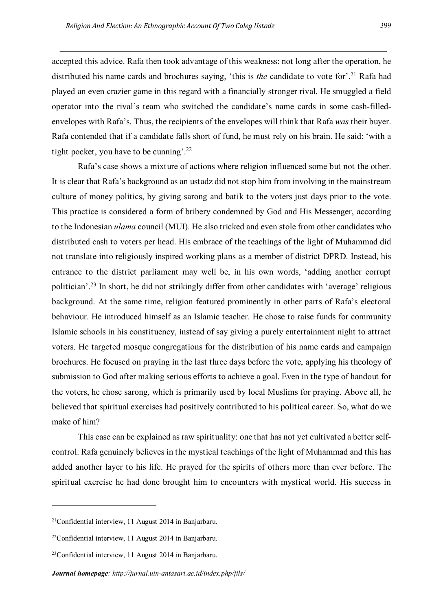accepted this advice. Rafa then took advantage of this weakness: not long after the operation, he distributed his name cards and brochures saying, 'this is *the* candidate to vote for'. <sup>21</sup> Rafa had played an even crazier game in this regard with a financially stronger rival. He smuggled a field operator into the rival's team who switched the candidate's name cards in some cash-filledenvelopes with Rafa's. Thus, the recipients of the envelopes will think that Rafa *was* their buyer. Rafa contended that if a candidate falls short of fund, he must rely on his brain. He said: 'with a tight pocket, you have to be cunning'.<sup>22</sup>

Rafa's case shows a mixture of actions where religion influenced some but not the other. It is clear that Rafa's background as an ustadz did not stop him from involving in the mainstream culture of money politics, by giving sarong and batik to the voters just days prior to the vote. This practice is considered a form of bribery condemned by God and His Messenger, according to the Indonesian *ulama* council (MUI). He also tricked and even stole from other candidates who distributed cash to voters per head. His embrace of the teachings of the light of Muhammad did not translate into religiously inspired working plans as a member of district DPRD. Instead, his entrance to the district parliament may well be, in his own words, 'adding another corrupt politician'. <sup>23</sup> In short, he did not strikingly differ from other candidates with 'average' religious background. At the same time, religion featured prominently in other parts of Rafa's electoral behaviour. He introduced himself as an Islamic teacher. He chose to raise funds for community Islamic schools in his constituency, instead of say giving a purely entertainment night to attract voters. He targeted mosque congregations for the distribution of his name cards and campaign brochures. He focused on praying in the last three days before the vote, applying his theology of submission to God after making serious efforts to achieve a goal. Even in the type of handout for the voters, he chose sarong, which is primarily used by local Muslims for praying. Above all, he believed that spiritual exercises had positively contributed to his political career. So, what do we make of him?

This case can be explained as raw spirituality: one that has not yet cultivated a better selfcontrol. Rafa genuinely believes in the mystical teachings of the light of Muhammad and this has added another layer to his life. He prayed for the spirits of others more than ever before. The spiritual exercise he had done brought him to encounters with mystical world. His success in

 $21$ Confidential interview, 11 August 2014 in Banjarbaru.

<sup>22</sup>Confidential interview, 11 August 2014 in Banjarbaru.

<sup>23</sup>Confidential interview, 11 August 2014 in Banjarbaru.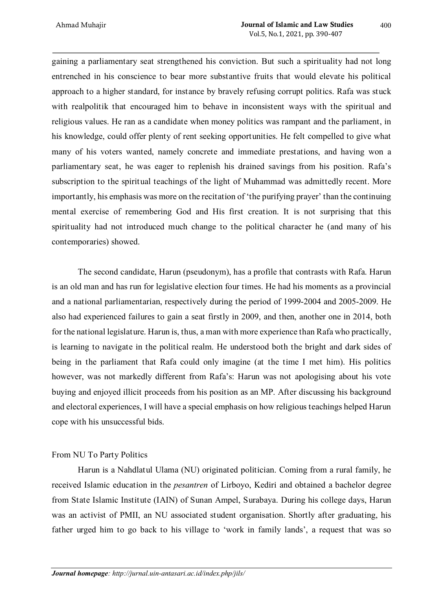gaining a parliamentary seat strengthened his conviction. But such a spirituality had not long entrenched in his conscience to bear more substantive fruits that would elevate his political approach to a higher standard, for instance by bravely refusing corrupt politics. Rafa was stuck with realpolitik that encouraged him to behave in inconsistent ways with the spiritual and religious values. He ran as a candidate when money politics was rampant and the parliament, in his knowledge, could offer plenty of rent seeking opportunities. He felt compelled to give what many of his voters wanted, namely concrete and immediate prestations, and having won a parliamentary seat, he was eager to replenish his drained savings from his position. Rafa's subscription to the spiritual teachings of the light of Muhammad was admittedly recent. More importantly, his emphasis was more on the recitation of 'the purifying prayer' than the continuing mental exercise of remembering God and His first creation. It is not surprising that this spirituality had not introduced much change to the political character he (and many of his contemporaries) showed.

The second candidate, Harun (pseudonym), has a profile that contrasts with Rafa. Harun is an old man and has run for legislative election four times. He had his moments as a provincial and a national parliamentarian, respectively during the period of 1999-2004 and 2005-2009. He also had experienced failures to gain a seat firstly in 2009, and then, another one in 2014, both for the national legislature. Harun is, thus, a man with more experience than Rafa who practically, is learning to navigate in the political realm. He understood both the bright and dark sides of being in the parliament that Rafa could only imagine (at the time I met him). His politics however, was not markedly different from Rafa's: Harun was not apologising about his vote buying and enjoyed illicit proceeds from his position as an MP. After discussing his background and electoral experiences, I will have a special emphasis on how religious teachings helped Harun cope with his unsuccessful bids.

# From NU To Party Politics

Harun is a Nahdlatul Ulama (NU) originated politician. Coming from a rural family, he received Islamic education in the *pesantren* of Lirboyo, Kediri and obtained a bachelor degree from State Islamic Institute (IAIN) of Sunan Ampel, Surabaya. During his college days, Harun was an activist of PMII, an NU associated student organisation. Shortly after graduating, his father urged him to go back to his village to 'work in family lands', a request that was so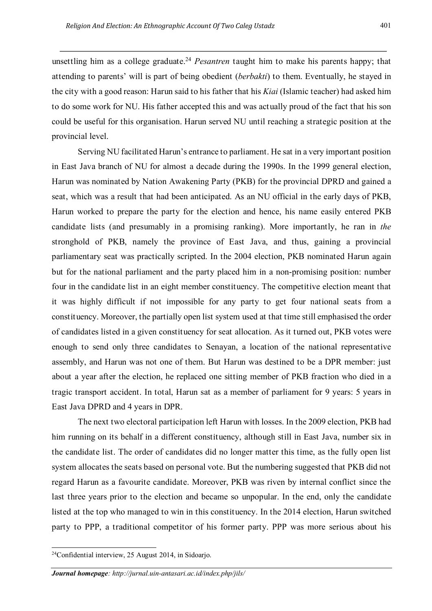unsettling him as a college graduate. <sup>24</sup> *Pesantren* taught him to make his parents happy; that attending to parents' will is part of being obedient (*berbakti*) to them. Eventually, he stayed in the city with a good reason: Harun said to his father that his *Kiai* (Islamic teacher) had asked him to do some work for NU. His father accepted this and was actually proud of the fact that his son could be useful for this organisation. Harun served NU until reaching a strategic position at the provincial level.

Serving NU facilitated Harun's entrance to parliament. He sat in a very important position in East Java branch of NU for almost a decade during the 1990s. In the 1999 general election, Harun was nominated by Nation Awakening Party (PKB) for the provincial DPRD and gained a seat, which was a result that had been anticipated. As an NU official in the early days of PKB, Harun worked to prepare the party for the election and hence, his name easily entered PKB candidate lists (and presumably in a promising ranking). More importantly, he ran in *the* stronghold of PKB, namely the province of East Java, and thus, gaining a provincial parliamentary seat was practically scripted. In the 2004 election, PKB nominated Harun again but for the national parliament and the party placed him in a non-promising position: number four in the candidate list in an eight member constituency. The competitive election meant that it was highly difficult if not impossible for any party to get four national seats from a constituency. Moreover, the partially open list system used at that time still emphasised the order of candidates listed in a given constituency for seat allocation. As it turned out, PKB votes were enough to send only three candidates to Senayan, a location of the national representative assembly, and Harun was not one of them. But Harun was destined to be a DPR member: just about a year after the election, he replaced one sitting member of PKB fraction who died in a tragic transport accident. In total, Harun sat as a member of parliament for 9 years: 5 years in East Java DPRD and 4 years in DPR.

The next two electoral participation left Harun with losses. In the 2009 election, PKB had him running on its behalf in a different constituency, although still in East Java, number six in the candidate list. The order of candidates did no longer matter this time, as the fully open list system allocates the seats based on personal vote. But the numbering suggested that PKB did not regard Harun as a favourite candidate. Moreover, PKB was riven by internal conflict since the last three years prior to the election and became so unpopular. In the end, only the candidate listed at the top who managed to win in this constituency. In the 2014 election, Harun switched party to PPP, a traditional competitor of his former party. PPP was more serious about his

 <sup>24</sup>Confidential interview, 25 August 2014, in Sidoarjo.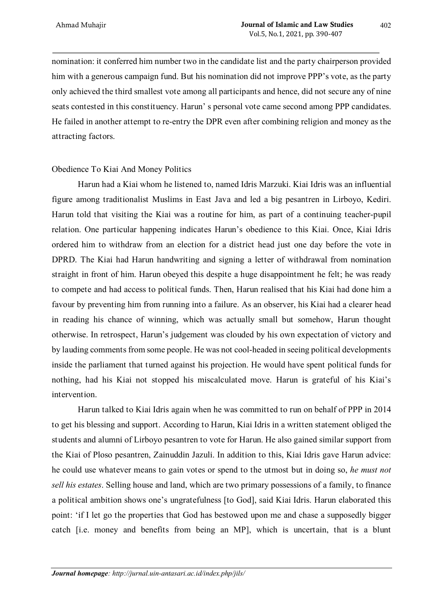nomination: it conferred him number two in the candidate list and the party chairperson provided him with a generous campaign fund. But his nomination did not improve PPP's vote, as the party only achieved the third smallest vote among all participants and hence, did not secure any of nine seats contested in this constituency. Harun' s personal vote came second among PPP candidates. He failed in another attempt to re-entry the DPR even after combining religion and money as the attracting factors.

### Obedience To Kiai And Money Politics

Harun had a Kiai whom he listened to, named Idris Marzuki. Kiai Idris was an influential figure among traditionalist Muslims in East Java and led a big pesantren in Lirboyo, Kediri. Harun told that visiting the Kiai was a routine for him, as part of a continuing teacher-pupil relation. One particular happening indicates Harun's obedience to this Kiai. Once, Kiai Idris ordered him to withdraw from an election for a district head just one day before the vote in DPRD. The Kiai had Harun handwriting and signing a letter of withdrawal from nomination straight in front of him. Harun obeyed this despite a huge disappointment he felt; he was ready to compete and had access to political funds. Then, Harun realised that his Kiai had done him a favour by preventing him from running into a failure. As an observer, his Kiai had a clearer head in reading his chance of winning, which was actually small but somehow, Harun thought otherwise. In retrospect, Harun's judgement was clouded by his own expectation of victory and by lauding comments from some people. He was not cool-headed in seeing political developments inside the parliament that turned against his projection. He would have spent political funds for nothing, had his Kiai not stopped his miscalculated move. Harun is grateful of his Kiai's intervention.

Harun talked to Kiai Idris again when he was committed to run on behalf of PPP in 2014 to get his blessing and support. According to Harun, Kiai Idris in a written statement obliged the students and alumni of Lirboyo pesantren to vote for Harun. He also gained similar support from the Kiai of Ploso pesantren, Zainuddin Jazuli. In addition to this, Kiai Idris gave Harun advice: he could use whatever means to gain votes or spend to the utmost but in doing so, *he must not sell his estates*. Selling house and land, which are two primary possessions of a family, to finance a political ambition shows one's ungratefulness [to God], said Kiai Idris. Harun elaborated this point: 'if I let go the properties that God has bestowed upon me and chase a supposedly bigger catch [i.e. money and benefits from being an MP], which is uncertain, that is a blunt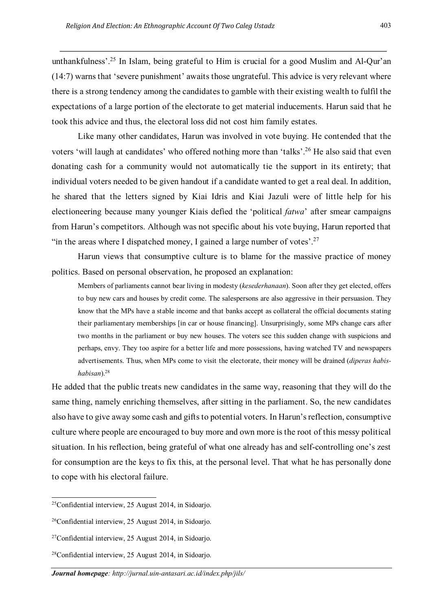unthankfulness'. <sup>25</sup> In Islam, being grateful to Him is crucial for a good Muslim and Al-Qur'an (14:7) warns that 'severe punishment' awaits those ungrateful. This advice is very relevant where there is a strong tendency among the candidates to gamble with their existing wealth to fulfil the expectations of a large portion of the electorate to get material inducements. Harun said that he took this advice and thus, the electoral loss did not cost him family estates.

Like many other candidates, Harun was involved in vote buying. He contended that the voters 'will laugh at candidates' who offered nothing more than 'talks'.<sup>26</sup> He also said that even donating cash for a community would not automatically tie the support in its entirety; that individual voters needed to be given handout if a candidate wanted to get a real deal. In addition, he shared that the letters signed by Kiai Idris and Kiai Jazuli were of little help for his electioneering because many younger Kiais defied the 'political *fatwa*' after smear campaigns from Harun's competitors. Although was not specific about his vote buying, Harun reported that "in the areas where I dispatched money, I gained a large number of votes'.<sup>27</sup>

Harun views that consumptive culture is to blame for the massive practice of money politics. Based on personal observation, he proposed an explanation:

Members of parliaments cannot bear living in modesty (*kesederhanaan*). Soon after they get elected, offers to buy new cars and houses by credit come. The salespersons are also aggressive in their persuasion. They know that the MPs have a stable income and that banks accept as collateral the official documents stating their parliamentary memberships [in car or house financing]. Unsurprisingly, some MPs change cars after two months in the parliament or buy new houses. The voters see this sudden change with suspicions and perhaps, envy. They too aspire for a better life and more possessions, having watched TV and newspapers advertisements. Thus, when MPs come to visit the electorate, their money will be drained (*diperas habishabisan*).28

He added that the public treats new candidates in the same way, reasoning that they will do the same thing, namely enriching themselves, after sitting in the parliament. So, the new candidates also have to give away some cash and gifts to potential voters. In Harun's reflection, consumptive culture where people are encouraged to buy more and own more is the root of this messy political situation. In his reflection, being grateful of what one already has and self-controlling one's zest for consumption are the keys to fix this, at the personal level. That what he has personally done to cope with his electoral failure.

 <sup>25</sup>Confidential interview, 25 August 2014, in Sidoarjo.

 $26$ Confidential interview, 25 August 2014, in Sidoario.

<sup>27</sup>Confidential interview, 25 August 2014, in Sidoarjo.

<sup>28</sup>Confidential interview, 25 August 2014, in Sidoarjo.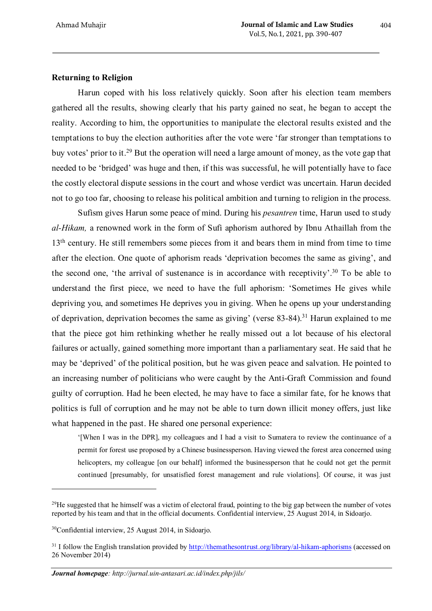## **Returning to Religion**

Harun coped with his loss relatively quickly. Soon after his election team members gathered all the results, showing clearly that his party gained no seat, he began to accept the reality. According to him, the opportunities to manipulate the electoral results existed and the temptations to buy the election authorities after the vote were 'far stronger than temptations to buy votes' prior to it.29 But the operation will need a large amount of money, as the vote gap that needed to be 'bridged' was huge and then, if this was successful, he will potentially have to face the costly electoral dispute sessions in the court and whose verdict was uncertain. Harun decided not to go too far, choosing to release his political ambition and turning to religion in the process.

Sufism gives Harun some peace of mind. During his *pesantren* time, Harun used to study *al-Hikam,* a renowned work in the form of Sufi aphorism authored by Ibnu Athaillah from the 13<sup>th</sup> century. He still remembers some pieces from it and bears them in mind from time to time after the election. One quote of aphorism reads 'deprivation becomes the same as giving', and the second one, 'the arrival of sustenance is in accordance with receptivity'. <sup>30</sup> To be able to understand the first piece, we need to have the full aphorism: 'Sometimes He gives while depriving you, and sometimes He deprives you in giving. When he opens up your understanding of deprivation, deprivation becomes the same as giving' (verse  $83-84$ ).<sup>31</sup> Harun explained to me that the piece got him rethinking whether he really missed out a lot because of his electoral failures or actually, gained something more important than a parliamentary seat. He said that he may be 'deprived' of the political position, but he was given peace and salvation. He pointed to an increasing number of politicians who were caught by the Anti-Graft Commission and found guilty of corruption. Had he been elected, he may have to face a similar fate, for he knows that politics is full of corruption and he may not be able to turn down illicit money offers, just like what happened in the past. He shared one personal experience:

'[When I was in the DPR], my colleagues and I had a visit to Sumatera to review the continuance of a permit for forest use proposed by a Chinese businessperson. Having viewed the forest area concerned using helicopters, my colleague [on our behalf] informed the businessperson that he could not get the permit continued [presumably, for unsatisfied forest management and rule violations]. Of course, it was just

 $^{29}$ He suggested that he himself was a victim of electoral fraud, pointing to the big gap between the number of votes reported by his team and that in the official documents. Confidential interview, 25 August 2014, in Sidoarjo.

<sup>30</sup>Confidential interview, 25 August 2014, in Sidoarjo.

<sup>&</sup>lt;sup>31</sup> I follow the English translation provided by http://themathesontrust.org/library/al-hikam-aphorisms (accessed on 26 November 2014)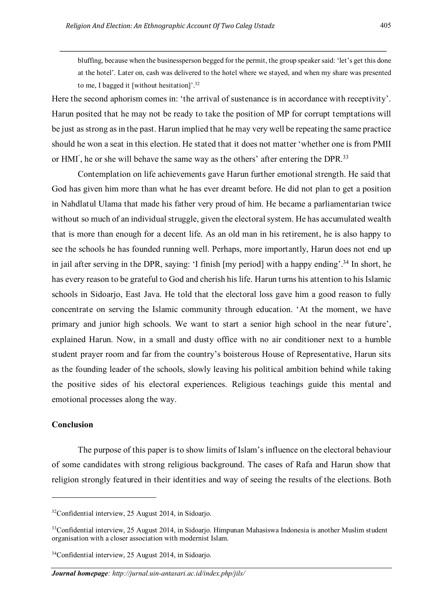bluffing, because when the businessperson begged for the permit, the group speaker said: 'let's get this done at the hotel'. Later on, cash was delivered to the hotel where we stayed, and when my share was presented to me, I bagged it [without hesitation]'.<sup>32</sup>

Here the second aphorism comes in: 'the arrival of sustenance is in accordance with receptivity'. Harun posited that he may not be ready to take the position of MP for corrupt temptations will be just as strong as in the past. Harun implied that he may very well be repeating the same practice should he won a seat in this election. He stated that it does not matter 'whether one is from PMII or HMI', he or she will behave the same way as the others' after entering the DPR.<sup>33</sup>

Contemplation on life achievements gave Harun further emotional strength. He said that God has given him more than what he has ever dreamt before. He did not plan to get a position in Nahdlatul Ulama that made his father very proud of him. He became a parliamentarian twice without so much of an individual struggle, given the electoral system. He has accumulated wealth that is more than enough for a decent life. As an old man in his retirement, he is also happy to see the schools he has founded running well. Perhaps, more importantly, Harun does not end up in jail after serving in the DPR, saying: 'I finish [my period] with a happy ending'. <sup>34</sup> In short, he has every reason to be grateful to God and cherish his life. Harun turns his attention to his Islamic schools in Sidoarjo, East Java. He told that the electoral loss gave him a good reason to fully concentrate on serving the Islamic community through education. 'At the moment, we have primary and junior high schools. We want to start a senior high school in the near future', explained Harun. Now, in a small and dusty office with no air conditioner next to a humble student prayer room and far from the country's boisterous House of Representative, Harun sits as the founding leader of the schools, slowly leaving his political ambition behind while taking the positive sides of his electoral experiences. Religious teachings guide this mental and emotional processes along the way.

# **Conclusion**

 $\overline{\phantom{a}}$ 

The purpose of this paper is to show limits of Islam's influence on the electoral behaviour of some candidates with strong religious background. The cases of Rafa and Harun show that religion strongly featured in their identities and way of seeing the results of the elections. Both

<sup>32</sup>Confidential interview, 25 August 2014, in Sidoarjo.

<sup>&</sup>lt;sup>33</sup>Confidential interview, 25 August 2014, in Sidoarjo. Himpunan Mahasiswa Indonesia is another Muslim student organisation with a closer association with modernist Islam.

<sup>34</sup>Confidential interview, 25 August 2014, in Sidoarjo.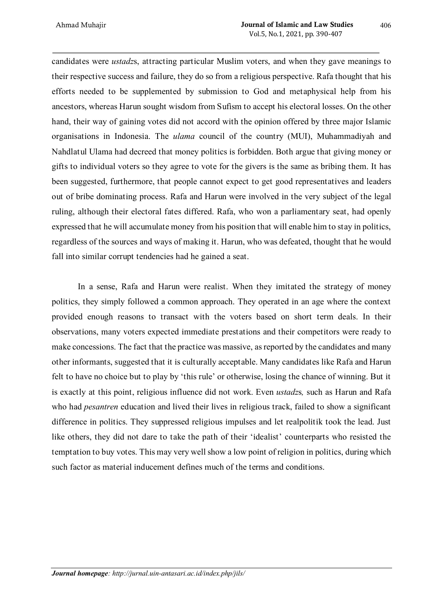candidates were *ustadz*s, attracting particular Muslim voters, and when they gave meanings to their respective success and failure, they do so from a religious perspective. Rafa thought that his efforts needed to be supplemented by submission to God and metaphysical help from his ancestors, whereas Harun sought wisdom from Sufism to accept his electoral losses. On the other hand, their way of gaining votes did not accord with the opinion offered by three major Islamic organisations in Indonesia. The *ulama* council of the country (MUI), Muhammadiyah and Nahdlatul Ulama had decreed that money politics is forbidden. Both argue that giving money or gifts to individual voters so they agree to vote for the givers is the same as bribing them. It has been suggested, furthermore, that people cannot expect to get good representatives and leaders out of bribe dominating process. Rafa and Harun were involved in the very subject of the legal ruling, although their electoral fates differed. Rafa, who won a parliamentary seat, had openly expressed that he will accumulate money from his position that will enable him to stay in politics, regardless of the sources and ways of making it. Harun, who was defeated, thought that he would fall into similar corrupt tendencies had he gained a seat.

In a sense, Rafa and Harun were realist. When they imitated the strategy of money politics, they simply followed a common approach. They operated in an age where the context provided enough reasons to transact with the voters based on short term deals. In their observations, many voters expected immediate prestations and their competitors were ready to make concessions. The fact that the practice was massive, as reported by the candidates and many other informants, suggested that it is culturally acceptable. Many candidates like Rafa and Harun felt to have no choice but to play by 'this rule' or otherwise, losing the chance of winning. But it is exactly at this point, religious influence did not work. Even *ustadz*s*,* such as Harun and Rafa who had *pesantren* education and lived their lives in religious track, failed to show a significant difference in politics. They suppressed religious impulses and let realpolitik took the lead. Just like others, they did not dare to take the path of their 'idealist' counterparts who resisted the temptation to buy votes. This may very well show a low point of religion in politics, during which such factor as material inducement defines much of the terms and conditions.